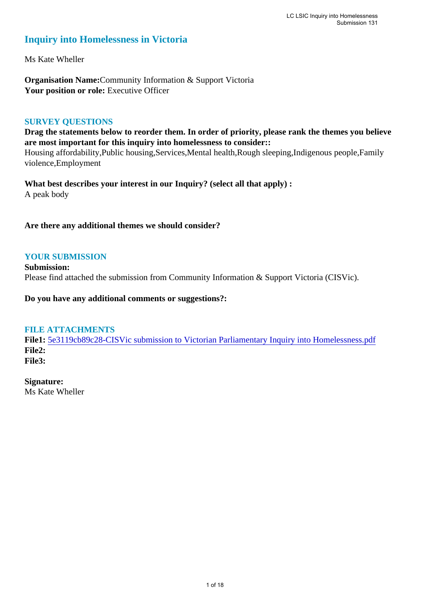# **Inquiry into Homelessness in Victoria**

Ms Kate Wheller

**Organisation Name:**Community Information & Support Victoria Your position or role: Executive Officer

# **SURVEY QUESTIONS**

**Drag the statements below to reorder them. In order of priority, please rank the themes you believe are most important for this inquiry into homelessness to consider::** 

Housing affordability,Public housing,Services,Mental health,Rough sleeping,Indigenous people,Family violence,Employment

**What best describes your interest in our Inquiry? (select all that apply) :**  A peak body

**Are there any additional themes we should consider?**

# **YOUR SUBMISSION**

**Submission:**  Please find attached the submission from Community Information & Support Victoria (CISVic).

**Do you have any additional comments or suggestions?:** 

# **FILE ATTACHMENTS**

**File1:** [5e3119cb89c28-CISVic submission to Victorian Parliamentary Inquiry into Homelessness.pdf](https://www.parliament.vic.gov.au/component/rsform/submission-view-file/40cbe4aa9ed1841b1896436a4dafcab3/357dc7fb465333411bc9077271fcf1ce?Itemid=527) **File2: File3:** 

**Signature:** Ms Kate Wheller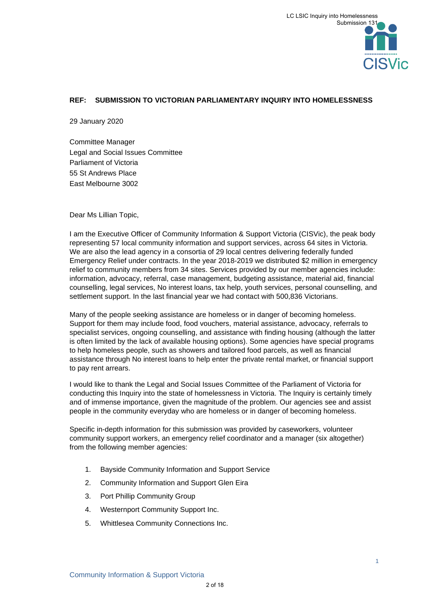# **REF: SUBMISSION TO VICTORIAN PARLIAMENTARY INQUIRY INTO HOMELESSNESS**

29 January 2020

Committee Manager Legal and Social Issues Committee Parliament of Victoria 55 St Andrews Place East Melbourne 3002

Dear Ms Lillian Topic,

I am the Executive Officer of Community Information & Support Victoria (CISVic), the peak body representing 57 local community information and support services, across 64 sites in Victoria. We are also the lead agency in a consortia of 29 local centres delivering federally funded Emergency Relief under contracts. In the year 2018-2019 we distributed \$2 million in emergency relief to community members from 34 sites. Services provided by our member agencies include: information, advocacy, referral, case management, budgeting assistance, material aid, financial counselling, legal services, No interest loans, tax help, youth services, personal counselling, and settlement support. In the last financial year we had contact with 500,836 Victorians.

Many of the people seeking assistance are homeless or in danger of becoming homeless. Support for them may include food, food vouchers, material assistance, advocacy, referrals to specialist services, ongoing counselling, and assistance with finding housing (although the latter is often limited by the lack of available housing options). Some agencies have special programs to help homeless people, such as showers and tailored food parcels, as well as financial assistance through No interest loans to help enter the private rental market, or financial support to pay rent arrears.

I would like to thank the Legal and Social Issues Committee of the Parliament of Victoria for conducting this Inquiry into the state of homelessness in Victoria. The Inquiry is certainly timely and of immense importance, given the magnitude of the problem. Our agencies see and assist people in the community everyday who are homeless or in danger of becoming homeless.

Specific in-depth information for this submission was provided by caseworkers, volunteer community support workers, an emergency relief coordinator and a manager (six altogether) from the following member agencies:

- 1. Bayside Community Information and Support Service
- 2. Community Information and Support Glen Eira
- 3. Port Phillip Community Group
- 4. Westernport Community Support Inc.
- 5. Whittlesea Community Connections Inc.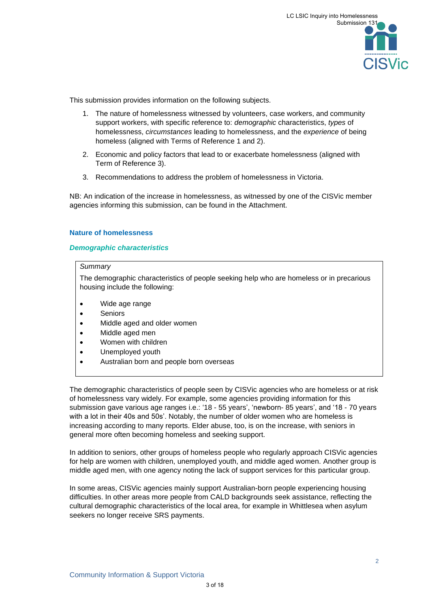

This submission provides information on the following subjects.

- 1. The nature of homelessness witnessed by volunteers, case workers, and community support workers, with specific reference to: *demographic* characteristics, *types* of homelessness, *circumstances* leading to homelessness, and the *experience* of being homeless (aligned with Terms of Reference 1 and 2).
- 2. Economic and policy factors that lead to or exacerbate homelessness (aligned with Term of Reference 3).
- 3. Recommendations to address the problem of homelessness in Victoria.

NB: An indication of the increase in homelessness, as witnessed by one of the CISVic member agencies informing this submission, can be found in the Attachment.

### **Nature of homelessness**

### *Demographic characteristics*

# *Summary*

The demographic characteristics of people seeking help who are homeless or in precarious housing include the following:

- Wide age range
- Seniors
- Middle aged and older women
- Middle aged men
- Women with children
- Unemployed youth
- Australian born and people born overseas

The demographic characteristics of people seen by CISVic agencies who are homeless or at risk of homelessness vary widely. For example, some agencies providing information for this submission gave various age ranges i.e.: '18 - 55 years', 'newborn- 85 years', and '18 - 70 years with a lot in their 40s and 50s'. Notably, the number of older women who are homeless is increasing according to many reports. Elder abuse, too, is on the increase, with seniors in general more often becoming homeless and seeking support.

In addition to seniors, other groups of homeless people who regularly approach CISVic agencies for help are women with children, unemployed youth, and middle aged women. Another group is middle aged men, with one agency noting the lack of support services for this particular group.

In some areas, CISVic agencies mainly support Australian-born people experiencing housing difficulties. In other areas more people from CALD backgrounds seek assistance, reflecting the cultural demographic characteristics of the local area, for example in Whittlesea when asylum seekers no longer receive SRS payments.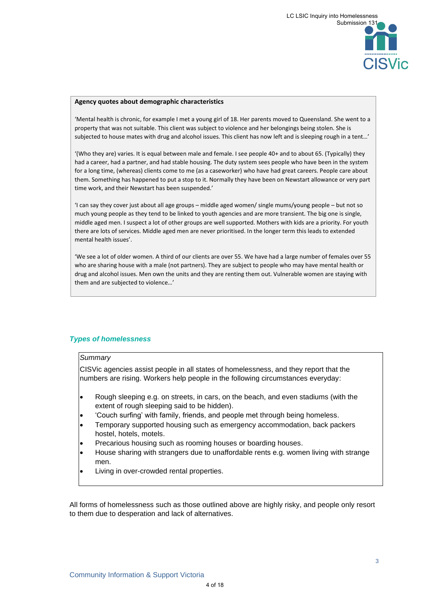

#### **Agency quotes about demographic characteristics**

'Mental health is chronic, for example I met a young girl of 18. Her parents moved to Queensland. She went to a property that was not suitable. This client was subject to violence and her belongings being stolen. She is subjected to house mates with drug and alcohol issues. This client has now left and is sleeping rough in a tent…'

'(Who they are) varies. It is equal between male and female. I see people 40+ and to about 65. (Typically) they had a career, had a partner, and had stable housing. The duty system sees people who have been in the system for a long time, (whereas) clients come to me (as a caseworker) who have had great careers. People care about them. Something has happened to put a stop to it. Normally they have been on Newstart allowance or very part time work, and their Newstart has been suspended.'

'I can say they cover just about all age groups – middle aged women/ single mums/young people – but not so much young people as they tend to be linked to youth agencies and are more transient. The big one is single, middle aged men. I suspect a lot of other groups are well supported. Mothers with kids are a priority. For youth there are lots of services. Middle aged men are never prioritised. In the longer term this leads to extended mental health issues'.

'We see a lot of older women. A third of our clients are over 55. We have had a large number of females over 55 who are sharing house with a male (not partners). They are subject to people who may have mental health or drug and alcohol issues. Men own the units and they are renting them out. Vulnerable women are staying with them and are subjected to violence…'

## *Types of homelessness*

#### *Summary*

CISVic agencies assist people in all states of homelessness, and they report that the numbers are rising. Workers help people in the following circumstances everyday:

- Rough sleeping e.g. on streets, in cars, on the beach, and even stadiums (with the extent of rough sleeping said to be hidden).
- 'Couch surfing' with family, friends, and people met through being homeless.
- Temporary supported housing such as emergency accommodation, back packers hostel, hotels, motels.
- Precarious housing such as rooming houses or boarding houses.
- House sharing with strangers due to unaffordable rents e.g. women living with strange men.
- Living in over-crowded rental properties.

All forms of homelessness such as those outlined above are highly risky, and people only resort to them due to desperation and lack of alternatives.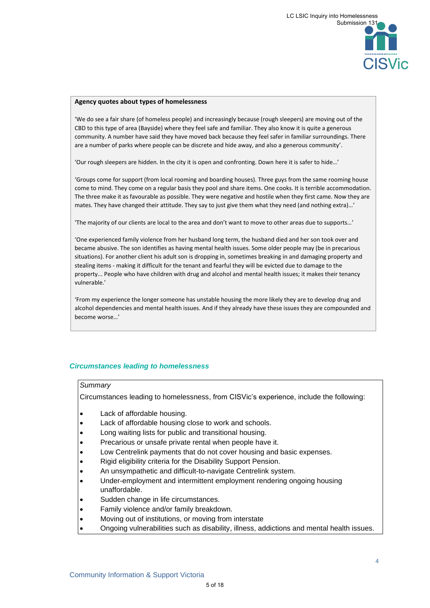

#### **Agency quotes about types of homelessness**

'We do see a fair share (of homeless people) and increasingly because (rough sleepers) are moving out of the CBD to this type of area (Bayside) where they feel safe and familiar. They also know it is quite a generous community. A number have said they have moved back because they feel safer in familiar surroundings. There are a number of parks where people can be discrete and hide away, and also a generous community'.

'Our rough sleepers are hidden. In the city it is open and confronting. Down here it is safer to hide…'

'Groups come for support (from local rooming and boarding houses). Three guys from the same rooming house come to mind. They come on a regular basis they pool and share items. One cooks. It is terrible accommodation. The three make it as favourable as possible. They were negative and hostile when they first came. Now they are mates. They have changed their attitude. They say to just give them what they need (and nothing extra)…'

'The majority of our clients are local to the area and don't want to move to other areas due to supports…'

'One experienced family violence from her husband long term, the husband died and her son took over and became abusive. The son identifies as having mental health issues. Some older people may (be in precarious situations). For another client his adult son is dropping in, sometimes breaking in and damaging property and stealing items - making it difficult for the tenant and fearful they will be evicted due to damage to the property... People who have children with drug and alcohol and mental health issues; it makes their tenancy vulnerable.'

'From my experience the longer someone has unstable housing the more likely they are to develop drug and alcohol dependencies and mental health issues. And if they already have these issues they are compounded and become worse…'

### *Circumstances leading to homelessness*

#### *Summary*

Circumstances leading to homelessness, from CISVic's experience, include the following:

- Lack of affordable housing.
- Lack of affordable housing close to work and schools.
- Long waiting lists for public and transitional housing.
- Precarious or unsafe private rental when people have it.
- Low Centrelink payments that do not cover housing and basic expenses.
- Rigid eligibility criteria for the Disability Support Pension.
- An unsympathetic and difficult-to-navigate Centrelink system.
- Under-employment and intermittent employment rendering ongoing housing unaffordable.
- Sudden change in life circumstances.
- Family violence and/or family breakdown.
- Moving out of institutions, or moving from interstate
- Ongoing vulnerabilities such as disability, illness, addictions and mental health issues.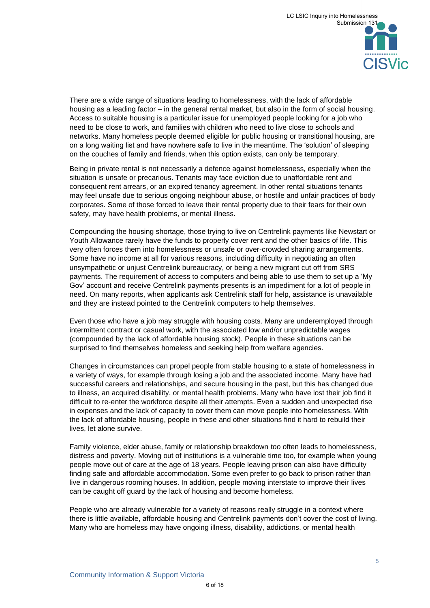There are a wide range of situations leading to homelessness, with the lack of affordable housing as a leading factor – in the general rental market, but also in the form of social housing. Access to suitable housing is a particular issue for unemployed people looking for a job who need to be close to work, and families with children who need to live close to schools and networks. Many homeless people deemed eligible for public housing or transitional housing, are on a long waiting list and have nowhere safe to live in the meantime. The 'solution' of sleeping on the couches of family and friends, when this option exists, can only be temporary.

Being in private rental is not necessarily a defence against homelessness, especially when the situation is unsafe or precarious. Tenants may face eviction due to unaffordable rent and consequent rent arrears, or an expired tenancy agreement. In other rental situations tenants may feel unsafe due to serious ongoing neighbour abuse, or hostile and unfair practices of body corporates. Some of those forced to leave their rental property due to their fears for their own safety, may have health problems, or mental illness.

Compounding the housing shortage, those trying to live on Centrelink payments like Newstart or Youth Allowance rarely have the funds to properly cover rent and the other basics of life. This very often forces them into homelessness or unsafe or over-crowded sharing arrangements. Some have no income at all for various reasons, including difficulty in negotiating an often unsympathetic or unjust Centrelink bureaucracy, or being a new migrant cut off from SRS payments. The requirement of access to computers and being able to use them to set up a 'My Gov' account and receive Centrelink payments presents is an impediment for a lot of people in need. On many reports, when applicants ask Centrelink staff for help, assistance is unavailable and they are instead pointed to the Centrelink computers to help themselves.

Even those who have a job may struggle with housing costs. Many are underemployed through intermittent contract or casual work, with the associated low and/or unpredictable wages (compounded by the lack of affordable housing stock). People in these situations can be surprised to find themselves homeless and seeking help from welfare agencies.

Changes in circumstances can propel people from stable housing to a state of homelessness in a variety of ways, for example through losing a job and the associated income. Many have had successful careers and relationships, and secure housing in the past, but this has changed due to illness, an acquired disability, or mental health problems. Many who have lost their job find it difficult to re-enter the workforce despite all their attempts. Even a sudden and unexpected rise in expenses and the lack of capacity to cover them can move people into homelessness. With the lack of affordable housing, people in these and other situations find it hard to rebuild their lives, let alone survive.

Family violence, elder abuse, family or relationship breakdown too often leads to homelessness, distress and poverty. Moving out of institutions is a vulnerable time too, for example when young people move out of care at the age of 18 years. People leaving prison can also have difficulty finding safe and affordable accommodation. Some even prefer to go back to prison rather than live in dangerous rooming houses. In addition, people moving interstate to improve their lives can be caught off guard by the lack of housing and become homeless.

People who are already vulnerable for a variety of reasons really struggle in a context where there is little available, affordable housing and Centrelink payments don't cover the cost of living. Many who are homeless may have ongoing illness, disability, addictions, or mental health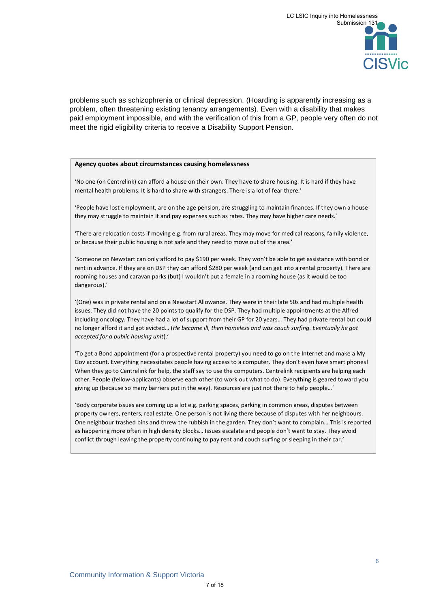problems such as schizophrenia or clinical depression. (Hoarding is apparently increasing as a problem, often threatening existing tenancy arrangements). Even with a disability that makes paid employment impossible, and with the verification of this from a GP, people very often do not meet the rigid eligibility criteria to receive a Disability Support Pension.

#### **Agency quotes about circumstances causing homelessness**

'No one (on Centrelink) can afford a house on their own. They have to share housing. It is hard if they have mental health problems. It is hard to share with strangers. There is a lot of fear there.'

'People have lost employment, are on the age pension, are struggling to maintain finances. If they own a house they may struggle to maintain it and pay expenses such as rates. They may have higher care needs.'

'There are relocation costs if moving e.g. from rural areas. They may move for medical reasons, family violence, or because their public housing is not safe and they need to move out of the area.'

'Someone on Newstart can only afford to pay \$190 per week. They won't be able to get assistance with bond or rent in advance. If they are on DSP they can afford \$280 per week (and can get into a rental property). There are rooming houses and caravan parks (but) I wouldn't put a female in a rooming house (as it would be too dangerous).'

'(One) was in private rental and on a Newstart Allowance. They were in their late 50s and had multiple health issues. They did not have the 20 points to qualify for the DSP. They had multiple appointments at the Alfred including oncology. They have had a lot of support from their GP for 20 years… They had private rental but could no longer afford it and got evicted… (*He became ill, then homeless and was couch surfing. Eventually he got accepted for a public housing unit*).'

'To get a Bond appointment (for a prospective rental property) you need to go on the Internet and make a My Gov account. Everything necessitates people having access to a computer. They don't even have smart phones! When they go to Centrelink for help, the staff say to use the computers. Centrelink recipients are helping each other. People (fellow-applicants) observe each other (to work out what to do). Everything is geared toward you giving up (because so many barriers put in the way). Resources are just not there to help people…'

'Body corporate issues are coming up a lot e.g. parking spaces, parking in common areas, disputes between property owners, renters, real estate. One person is not living there because of disputes with her neighbours. One neighbour trashed bins and threw the rubbish in the garden. They don't want to complain… This is reported as happening more often in high density blocks… Issues escalate and people don't want to stay. They avoid conflict through leaving the property continuing to pay rent and couch surfing or sleeping in their car.'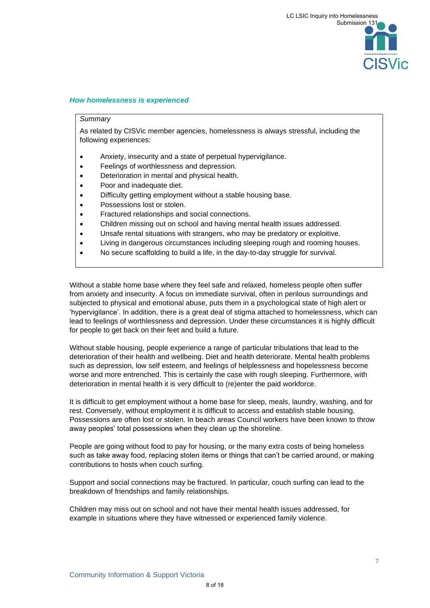# *How homelessness is experienced*

### *Summary*

As related by CISVic member agencies, homelessness is always stressful, including the following experiences:

- Anxiety, insecurity and a state of perpetual hypervigilance.
- Feelings of worthlessness and depression.
- Deterioration in mental and physical health.
- Poor and inadequate diet.
- Difficulty getting employment without a stable housing base.
- Possessions lost or stolen.
- Fractured relationships and social connections.
- Children missing out on school and having mental health issues addressed.
- Unsafe rental situations with strangers, who may be predatory or exploitive.
- Living in dangerous circumstances including sleeping rough and rooming houses.
- No secure scaffolding to build a life, in the day-to-day struggle for survival.

Without a stable home base where they feel safe and relaxed, homeless people often suffer from anxiety and insecurity. A focus on immediate survival, often in perilous surroundings and subjected to physical and emotional abuse, puts them in a psychological state of high alert or 'hypervigilance'. In addition, there is a great deal of stigma attached to homelessness, which can lead to feelings of worthlessness and depression. Under these circumstances it is highly difficult for people to get back on their feet and build a future.

Without stable housing, people experience a range of particular tribulations that lead to the deterioration of their health and wellbeing. Diet and health deteriorate. Mental health problems such as depression, low self esteem, and feelings of helplessness and hopelessness become worse and more entrenched. This is certainly the case with rough sleeping. Furthermore, with deterioration in mental health it is very difficult to (re)enter the paid workforce.

It is difficult to get employment without a home base for sleep, meals, laundry, washing, and for rest. Conversely, without employment it is difficult to access and establish stable housing. Possessions are often lost or stolen. In beach areas Council workers have been known to throw away peoples' total possessions when they clean up the shoreline.

People are going without food to pay for housing, or the many extra costs of being homeless such as take away food, replacing stolen items or things that can't be carried around, or making contributions to hosts when couch surfing.

Support and social connections may be fractured. In particular, couch surfing can lead to the breakdown of friendships and family relationships.

Children may miss out on school and not have their mental health issues addressed, for example in situations where they have witnessed or experienced family violence.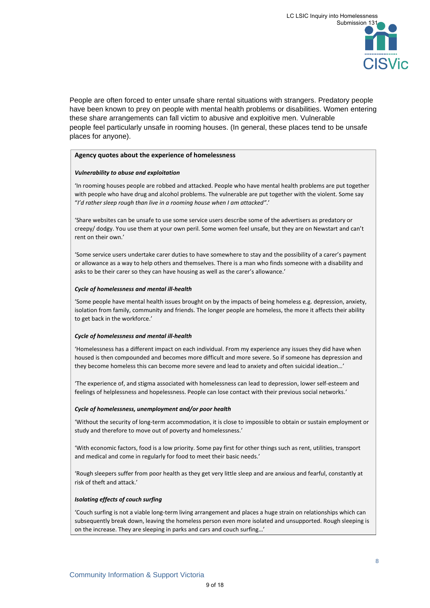People are often forced to enter unsafe share rental situations with strangers. Predatory people have been known to prey on people with mental health problems or disabilities. Women entering these share arrangements can fall victim to abusive and exploitive men. Vulnerable people feel particularly unsafe in rooming houses. (In general, these places tend to be unsafe places for anyone).

#### **Agency quotes about the experience of homelessness**

### *Vulnerability to abuse and exploitation*

'In rooming houses people are robbed and attacked. People who have mental health problems are put together with people who have drug and alcohol problems. The vulnerable are put together with the violent. Some say "*I'd rather sleep rough than live in a rooming house when I am attacked"*.'

'Share websites can be unsafe to use some service users describe some of the advertisers as predatory or creepy/ dodgy. You use them at your own peril. Some women feel unsafe, but they are on Newstart and can't rent on their own.'

'Some service users undertake carer duties to have somewhere to stay and the possibility of a carer's payment or allowance as a way to help others and themselves. There is a man who finds someone with a disability and asks to be their carer so they can have housing as well as the carer's allowance.'

### *Cycle of homelessness and mental ill-health*

'Some people have mental health issues brought on by the impacts of being homeless e.g. depression, anxiety, isolation from family, community and friends. The longer people are homeless, the more it affects their ability to get back in the workforce.'

#### *Cycle of homelessness and mental ill-health*

'Homelessness has a different impact on each individual. From my experience any issues they did have when housed is then compounded and becomes more difficult and more severe. So if someone has depression and they become homeless this can become more severe and lead to anxiety and often suicidal ideation…'

'The experience of, and stigma associated with homelessness can lead to depression, lower self-esteem and feelings of helplessness and hopelessness. People can lose contact with their previous social networks.'

#### *Cycle of homelessness, unemployment and/or poor health*

'Without the security of long-term accommodation, it is close to impossible to obtain or sustain employment or study and therefore to move out of poverty and homelessness.'

'With economic factors, food is a low priority. Some pay first for other things such as rent, utilities, transport and medical and come in regularly for food to meet their basic needs.'

'Rough sleepers suffer from poor health as they get very little sleep and are anxious and fearful, constantly at risk of theft and attack.'

## *Isolating effects of couch surfing*

'Couch surfing is not a viable long-term living arrangement and places a huge strain on relationships which can subsequently break down, leaving the homeless person even more isolated and unsupported. Rough sleeping is on the increase. They are sleeping in parks and cars and couch surfing…'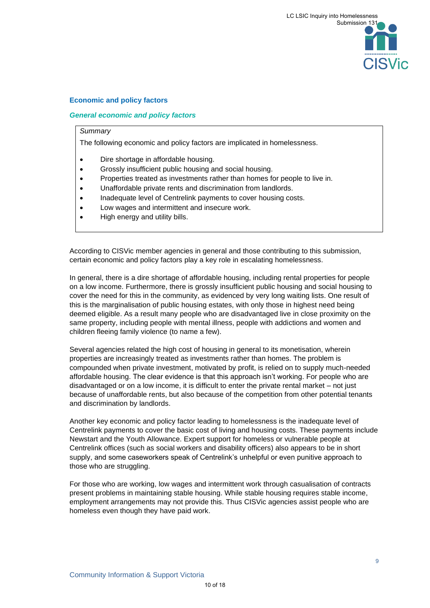# **Economic and policy factors**

# *General economic and policy factors*

### *Summary*

The following economic and policy factors are implicated in homelessness.

- Dire shortage in affordable housing.
- Grossly insufficient public housing and social housing.
- Properties treated as investments rather than homes for people to live in.
- Unaffordable private rents and discrimination from landlords.
- Inadequate level of Centrelink payments to cover housing costs.
- Low wages and intermittent and insecure work.
- High energy and utility bills.

According to CISVic member agencies in general and those contributing to this submission, certain economic and policy factors play a key role in escalating homelessness.

In general, there is a dire shortage of affordable housing, including rental properties for people on a low income. Furthermore, there is grossly insufficient public housing and social housing to cover the need for this in the community, as evidenced by very long waiting lists. One result of this is the marginalisation of public housing estates, with only those in highest need being deemed eligible. As a result many people who are disadvantaged live in close proximity on the same property, including people with mental illness, people with addictions and women and children fleeing family violence (to name a few).

Several agencies related the high cost of housing in general to its monetisation, wherein properties are increasingly treated as investments rather than homes. The problem is compounded when private investment, motivated by profit, is relied on to supply much-needed affordable housing. The clear evidence is that this approach isn't working. For people who are disadvantaged or on a low income, it is difficult to enter the private rental market – not just because of unaffordable rents, but also because of the competition from other potential tenants and discrimination by landlords.

Another key economic and policy factor leading to homelessness is the inadequate level of Centrelink payments to cover the basic cost of living and housing costs. These payments include Newstart and the Youth Allowance. Expert support for homeless or vulnerable people at Centrelink offices (such as social workers and disability officers) also appears to be in short supply, and some caseworkers speak of Centrelink's unhelpful or even punitive approach to those who are struggling.

For those who are working, low wages and intermittent work through casualisation of contracts present problems in maintaining stable housing. While stable housing requires stable income, employment arrangements may not provide this. Thus CISVic agencies assist people who are homeless even though they have paid work.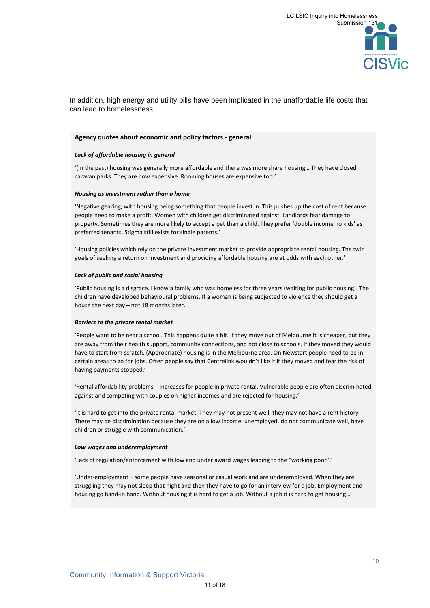In addition, high energy and utility bills have been implicated in the unaffordable life costs that can lead to homelessness.

#### **Agency quotes about economic and policy factors - general**

#### *Lack of affordable housing in general*

'(In the past) housing was generally more affordable and there was more share housing… They have closed caravan parks. They are now expensive. Rooming houses are expensive too.'

#### *Housing as investment rather than a home*

'Negative gearing, with housing being something that people invest in. This pushes up the cost of rent because people need to make a profit. Women with children get discriminated against. Landlords fear damage to property. Sometimes they are more likely to accept a pet than a child. They prefer 'double income no kids' as preferred tenants. Stigma still exists for single parents.'

'Housing policies which rely on the private investment market to provide appropriate rental housing. The twin goals of seeking a return on investment and providing affordable housing are at odds with each other.'

#### *Lack of public and social housing*

'Public housing is a disgrace. I know a family who was homeless for three years (waiting for public housing). The children have developed behavioural problems. If a woman is being subjected to violence they should get a house the next day – not 18 months later.'

#### *Barriers to the private rental market*

'People want to be near a school. This happens quite a bit. If they move out of Melbourne it is cheaper, but they are away from their health support, community connections, and not close to schools. If they moved they would have to start from scratch. (Appropriate) housing is in the Melbourne area. On Newstart people need to be in certain areas to go for jobs. Often people say that Centrelink wouldn't like it if they moved and fear the risk of having payments stopped.'

'Rental affordability problems – increases for people in private rental. Vulnerable people are often discriminated against and competing with couples on higher incomes and are rejected for housing.'

'It is hard to get into the private rental market. They may not present well, they may not have a rent history. There may be discrimination because they are on a low income, unemployed, do not communicate well, have children or struggle with communication.'

#### *Low wages and underemployment*

'Lack of regulation/enforcement with low and under award wages leading to the "working poor".'

'Under-employment – some people have seasonal or casual work and are underemployed. When they are struggling they may not sleep that night and then they have to go for an interview for a job. Employment and housing go hand-in hand. Without housing it is hard to get a job. Without a job it is hard to get housing...'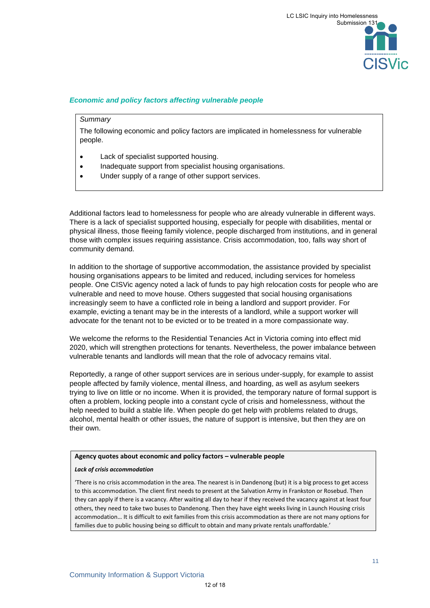# *Economic and policy factors affecting vulnerable people*

### *Summary*

The following economic and policy factors are implicated in homelessness for vulnerable people.

- Lack of specialist supported housing.
- Inadequate support from specialist housing organisations.
- Under supply of a range of other support services.

Additional factors lead to homelessness for people who are already vulnerable in different ways. There is a lack of specialist supported housing, especially for people with disabilities, mental or physical illness, those fleeing family violence, people discharged from institutions, and in general those with complex issues requiring assistance. Crisis accommodation, too, falls way short of community demand.

In addition to the shortage of supportive accommodation, the assistance provided by specialist housing organisations appears to be limited and reduced, including services for homeless people. One CISVic agency noted a lack of funds to pay high relocation costs for people who are vulnerable and need to move house. Others suggested that social housing organisations increasingly seem to have a conflicted role in being a landlord and support provider. For example, evicting a tenant may be in the interests of a landlord, while a support worker will advocate for the tenant not to be evicted or to be treated in a more compassionate way.

We welcome the reforms to the Residential Tenancies Act in Victoria coming into effect mid 2020, which will strengthen protections for tenants. Nevertheless, the power imbalance between vulnerable tenants and landlords will mean that the role of advocacy remains vital.

Reportedly, a range of other support services are in serious under-supply, for example to assist people affected by family violence, mental illness, and hoarding, as well as asylum seekers trying to live on little or no income. When it is provided, the temporary nature of formal support is often a problem, locking people into a constant cycle of crisis and homelessness, without the help needed to build a stable life. When people do get help with problems related to drugs, alcohol, mental health or other issues, the nature of support is intensive, but then they are on their own.

#### **Agency quotes about economic and policy factors – vulnerable people**

#### *Lack of crisis accommodation*

'There is no crisis accommodation in the area. The nearest is in Dandenong (but) it is a big process to get access to this accommodation. The client first needs to present at the Salvation Army in Frankston or Rosebud. Then they can apply if there is a vacancy. After waiting all day to hear if they received the vacancy against at least four others, they need to take two buses to Dandenong. Then they have eight weeks living in Launch Housing crisis accommodation… It is difficult to exit families from this crisis accommodation as there are not many options for families due to public housing being so difficult to obtain and many private rentals unaffordable.'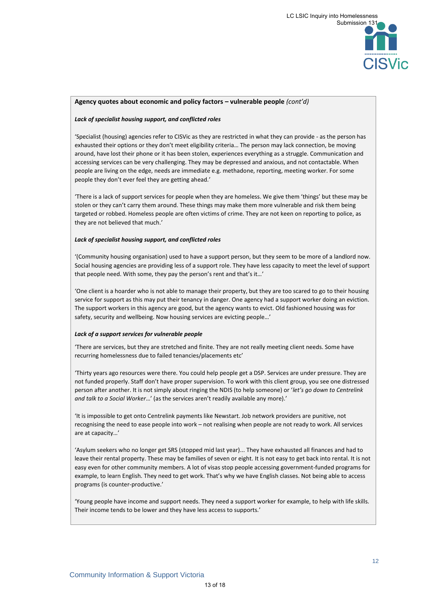#### **Agency quotes about economic and policy factors – vulnerable people** *(cont'd)*

#### *Lack of specialist housing support, and conflicted roles*

'Specialist (housing) agencies refer to CISVic as they are restricted in what they can provide - as the person has exhausted their options or they don't meet eligibility criteria… The person may lack connection, be moving around, have lost their phone or it has been stolen, experiences everything as a struggle. Communication and accessing services can be very challenging. They may be depressed and anxious, and not contactable. When people are living on the edge, needs are immediate e.g. methadone, reporting, meeting worker. For some people they don't ever feel they are getting ahead.'

'There is a lack of support services for people when they are homeless. We give them 'things' but these may be stolen or they can't carry them around. These things may make them more vulnerable and risk them being targeted or robbed. Homeless people are often victims of crime. They are not keen on reporting to police, as they are not believed that much.'

#### *Lack of specialist housing support, and conflicted roles*

'(Community housing organisation) used to have a support person, but they seem to be more of a landlord now. Social housing agencies are providing less of a support role. They have less capacity to meet the level of support that people need. With some, they pay the person's rent and that's it…'

'One client is a hoarder who is not able to manage their property, but they are too scared to go to their housing service for support as this may put their tenancy in danger. One agency had a support worker doing an eviction. The support workers in this agency are good, but the agency wants to evict. Old fashioned housing was for safety, security and wellbeing. Now housing services are evicting people…'

#### *Lack of a support services for vulnerable people*

'There are services, but they are stretched and finite. They are not really meeting client needs. Some have recurring homelessness due to failed tenancies/placements etc'

'Thirty years ago resources were there. You could help people get a DSP. Services are under pressure. They are not funded properly. Staff don't have proper supervision. To work with this client group, you see one distressed person after another. It is not simply about ringing the NDIS (to help someone) or '*let's go down to Centrelink and talk to a Social Worker*…' (as the services aren't readily available any more).'

'It is impossible to get onto Centrelink payments like Newstart. Job network providers are punitive, not recognising the need to ease people into work – not realising when people are not ready to work. All services are at capacity…'

'Asylum seekers who no longer get SRS (stopped mid last year)... They have exhausted all finances and had to leave their rental property. These may be families of seven or eight. It is not easy to get back into rental. It is not easy even for other community members. A lot of visas stop people accessing government-funded programs for example, to learn English. They need to get work. That's why we have English classes. Not being able to access programs (is counter-productive.'

'Young people have income and support needs. They need a support worker for example, to help with life skills. Their income tends to be lower and they have less access to supports.'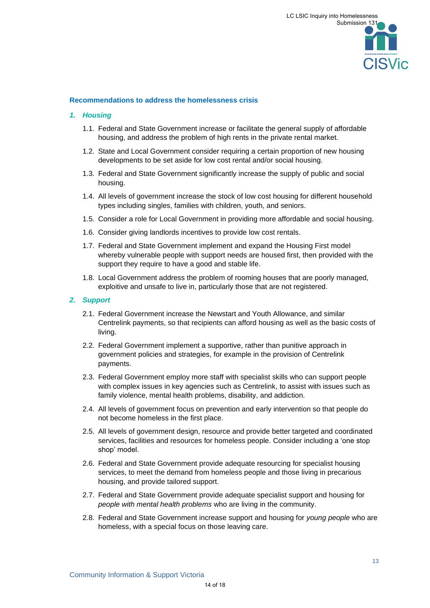# **Recommendations to address the homelessness crisis**

# *1. Housing*

- 1.1. Federal and State Government increase or facilitate the general supply of affordable housing, and address the problem of high rents in the private rental market.
- 1.2. State and Local Government consider requiring a certain proportion of new housing developments to be set aside for low cost rental and/or social housing.
- 1.3. Federal and State Government significantly increase the supply of public and social housing.
- 1.4. All levels of government increase the stock of low cost housing for different household types including singles, families with children, youth, and seniors.
- 1.5. Consider a role for Local Government in providing more affordable and social housing.
- 1.6. Consider giving landlords incentives to provide low cost rentals.
- 1.7. Federal and State Government implement and expand the Housing First model whereby vulnerable people with support needs are housed first, then provided with the support they require to have a good and stable life.
- 1.8. Local Government address the problem of rooming houses that are poorly managed, exploitive and unsafe to live in, particularly those that are not registered.

### *2. Support*

- 2.1. Federal Government increase the Newstart and Youth Allowance, and similar Centrelink payments, so that recipients can afford housing as well as the basic costs of living.
- 2.2. Federal Government implement a supportive, rather than punitive approach in government policies and strategies, for example in the provision of Centrelink payments.
- 2.3. Federal Government employ more staff with specialist skills who can support people with complex issues in key agencies such as Centrelink, to assist with issues such as family violence, mental health problems, disability, and addiction.
- 2.4. All levels of government focus on prevention and early intervention so that people do not become homeless in the first place.
- 2.5. All levels of government design, resource and provide better targeted and coordinated services, facilities and resources for homeless people. Consider including a 'one stop shop' model.
- 2.6. Federal and State Government provide adequate resourcing for specialist housing services, to meet the demand from homeless people and those living in precarious housing, and provide tailored support.
- 2.7. Federal and State Government provide adequate specialist support and housing for *people with mental health problems* who are living in the community.
- 2.8. Federal and State Government increase support and housing for *young people* who are homeless, with a special focus on those leaving care.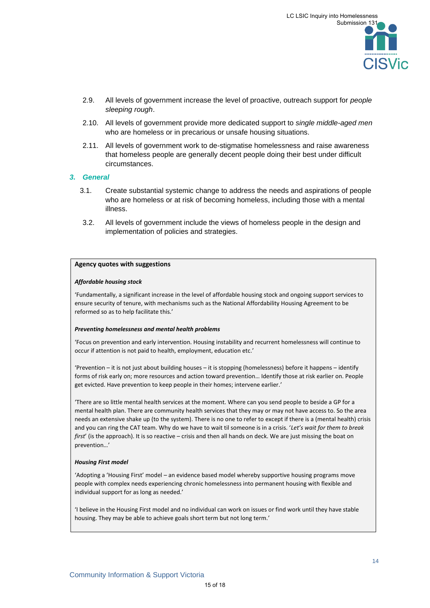- 2.9. All levels of government increase the level of proactive, outreach support for *people sleeping rough*.
- 2.10. All levels of government provide more dedicated support to *single middle-aged men* who are homeless or in precarious or unsafe housing situations.
- 2.11. All levels of government work to de-stigmatise homelessness and raise awareness that homeless people are generally decent people doing their best under difficult circumstances.

## *3. General*

- 3.1. Create substantial systemic change to address the needs and aspirations of people who are homeless or at risk of becoming homeless, including those with a mental illness.
- 3.2. All levels of government include the views of homeless people in the design and implementation of policies and strategies.

# **Agency quotes with suggestions**

## *Affordable housing stock*

'Fundamentally, a significant increase in the level of affordable housing stock and ongoing support services to ensure security of tenure, with mechanisms such as the National Affordability Housing Agreement to be reformed so as to help facilitate this.'

#### *Preventing homelessness and mental health problems*

'Focus on prevention and early intervention. Housing instability and recurrent homelessness will continue to occur if attention is not paid to health, employment, education etc.'

'Prevention – it is not just about building houses – it is stopping (homelessness) before it happens – identify forms of risk early on; more resources and action toward prevention… Identify those at risk earlier on. People get evicted. Have prevention to keep people in their homes; intervene earlier.'

'There are so little mental health services at the moment. Where can you send people to beside a GP for a mental health plan. There are community health services that they may or may not have access to. So the area needs an extensive shake up (to the system). There is no one to refer to except if there is a (mental health) crisis and you can ring the CAT team. Why do we have to wait til someone is in a crisis. '*Let's wait for them to break first*' (is the approach). It is so reactive – crisis and then all hands on deck. We are just missing the boat on prevention…'

## *Housing First model*

'Adopting a 'Housing First' model – an evidence based model whereby supportive housing programs move people with complex needs experiencing chronic homelessness into permanent housing with flexible and individual support for as long as needed.'

'I believe in the Housing First model and no individual can work on issues or find work until they have stable housing. They may be able to achieve goals short term but not long term.'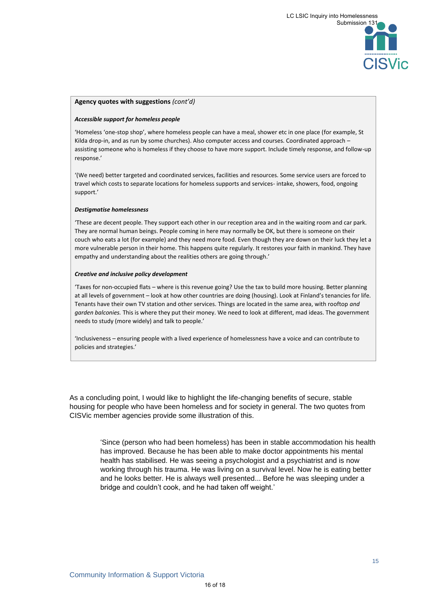

### **Agency quotes with suggestions** *(cont'd)*

#### *Accessible support for homeless people*

'Homeless 'one-stop shop', where homeless people can have a meal, shower etc in one place (for example, St Kilda drop-in, and as run by some churches). Also computer access and courses. Coordinated approach – assisting someone who is homeless if they choose to have more support. Include timely response, and follow-up response.'

'(We need) better targeted and coordinated services, facilities and resources. Some service users are forced to travel which costs to separate locations for homeless supports and services- intake, showers, food, ongoing support.'

#### *Destigmatise homelessness*

'These are decent people. They support each other in our reception area and in the waiting room and car park. They are normal human beings. People coming in here may normally be OK, but there is someone on their couch who eats a lot (for example) and they need more food. Even though they are down on their luck they let a more vulnerable person in their home. This happens quite regularly. It restores your faith in mankind. They have empathy and understanding about the realities others are going through.'

#### *Creative and inclusive policy development*

'Taxes for non-occupied flats – where is this revenue going? Use the tax to build more housing. Better planning at all levels of government – look at how other countries are doing (housing). Look at Finland's tenancies for life. Tenants have their own TV station and other services. Things are located in the same area, with rooftop *and garden balconies.* This is where they put their money. We need to look at different, mad ideas. The government needs to study (more widely) and talk to people.'

'Inclusiveness – ensuring people with a lived experience of homelessness have a voice and can contribute to policies and strategies.'

As a concluding point, I would like to highlight the life-changing benefits of secure, stable housing for people who have been homeless and for society in general. The two quotes from CISVic member agencies provide some illustration of this.

> 'Since (person who had been homeless) has been in stable accommodation his health has improved. Because he has been able to make doctor appointments his mental health has stabilised. He was seeing a psychologist and a psychiatrist and is now working through his trauma. He was living on a survival level. Now he is eating better and he looks better. He is always well presented... Before he was sleeping under a bridge and couldn't cook, and he had taken off weight.'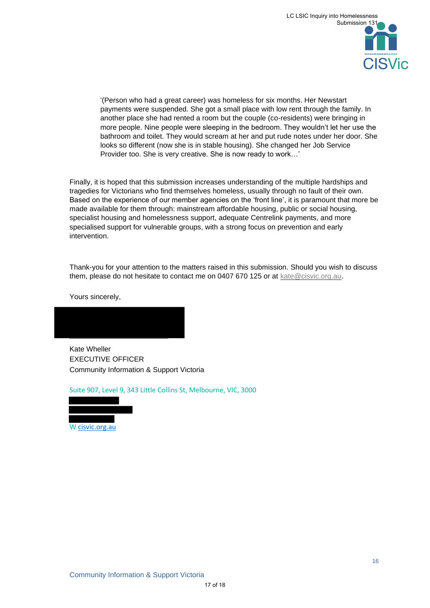'(Person who had a great career) was homeless for six months. Her Newstart payments were suspended. She got a small place with low rent through the family. In another place she had rented a room but the couple (co-residents) were bringing in more people. Nine people were sleeping in the bedroom. They wouldn't let her use the bathroom and toilet. They would scream at her and put rude notes under her door. She looks so different (now she is in stable housing). She changed her Job Service Provider too. She is very creative. She is now ready to work…'

Finally, it is hoped that this submission increases understanding of the multiple hardships and tragedies for Victorians who find themselves homeless, usually through no fault of their own. Based on the experience of our member agencies on the 'front line', it is paramount that more be made available for them through: mainstream affordable housing, public or social housing, specialist housing and homelessness support, adequate Centrelink payments, and more specialised support for vulnerable groups, with a strong focus on prevention and early intervention.

Thank-you for your attention to the matters raised in this submission. Should you wish to discuss them, please do not hesitate to contact me on 0407 670 125 or at [kate@cisvic.org.au.](mailto:kate@cisvic.org.au)

Yours sincerely,

Kate Wheller EXECUTIVE OFFICER Community Information & Support Victoria

Suite 907, Level 9, 343 Little Collins St, Melbourne, VIC, 3000